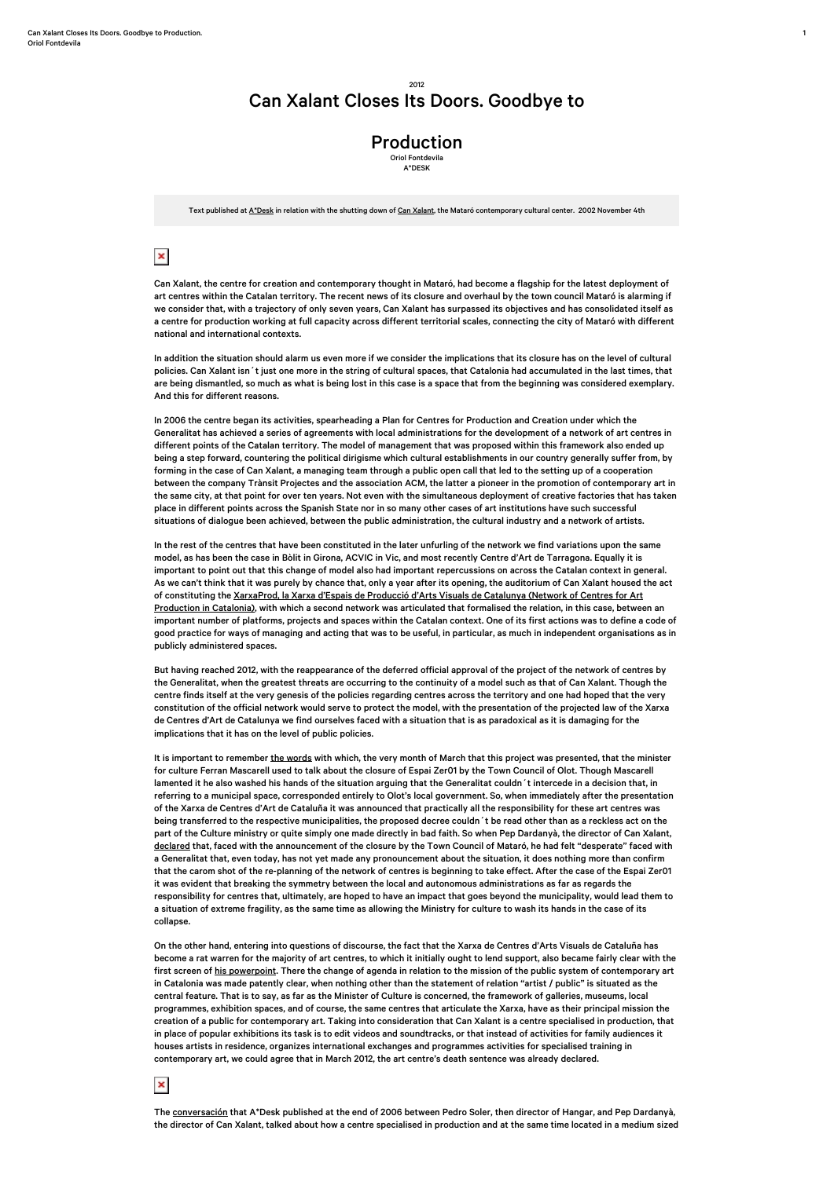1

## Can Xalant Closes Its Doors. Goodbye to

## Production

Oriol Fontdevila A\*DESK

Text published at [A\\*Desk](http://www.a-desk.org/highlights/Can-Xalant-closes-its-doors.html) in relation with the shutting down of [Can Xalant,](https://ca.wikipedia.org/wiki/Can_Xalant) the Mataró contemporary cultural center. 2002 November 4th

## $\pmb{\times}$

Can Xalant, the centre for creation and contemporary thought in Mataró, had become a flagship for the latest deployment of art centres within the Catalan territory. The recent news of its closure and overhaul by the town council Mataró is alarming if we consider that, with a trajectory of only seven years, Can Xalant has surpassed its objectives and has consolidated itself as a centre for production working at full capacity across different territorial scales, connecting the city of Mataró with different national and international contexts.

In addition the situation should alarm us even more if we consider the implications that its closure has on the level of cultural policies. Can Xalant isn´t just one more in the string of cultural spaces, that Catalonia had accumulated in the last times, that are being dismantled, so much as what is being lost in this case is a space that from the beginning was considered exemplary. And this for different reasons.

In 2006 the centre began its activities, spearheading a Plan for Centres for Production and Creation under which the Generalitat has achieved a series of agreements with local administrations for the development of a network of art centres in different points of the Catalan territory. The model of management that was proposed within this framework also ended up being a step forward, countering the political dirigisme which cultural establishments in our country generally suffer from, by forming in the case of Can Xalant, a managing team through a public open call that led to the setting up of a cooperation between the company Trànsit Projectes and the association ACM, the latter a pioneer in the promotion of contemporary art in the same city, at that point for over ten years. Not even with the simultaneous deployment of creative factories that has taken place in different points across the Spanish State nor in so many other cases of art institutions have such successful situations of dialogue been achieved, between the public administration, the cultural industry and a network of artists.

In the rest of the centres that have been constituted in the later unfurling of the network we find variations upon the same model, as has been the case in Bòlit in Girona, ACVIC in Vic, and most recently Centre d'Art de Tarragona. Equally it is important to point out that this change of model also had important repercussions on across the Catalan context in general. As we can't think that it was purely by chance that, only a year after its opening, the auditorium of Can Xalant housed the act of constituting the [XarxaProd, la Xarxa d'Espais de Producció d'Arts Visuals de Catalunya \(Network of Centres for Art](http://www.xarxaprod.cat/) [Production in Catalonia\),](http://www.xarxaprod.cat/) with which a second network was articulated that formalised the relation, in this case, between an important number of platforms, projects and spaces within the Catalan context. One of its first actions was to define a code of good practice for ways of managing and acting that was to be useful, in particular, as much in independent organisations as in publicly administered spaces.

But having reached 2012, with the reappearance of the deferred official approval of the project of the network of centres by the Generalitat, when the greatest threats are occurring to the continuity of a model such as that of Can Xalant. Though the centre finds itself at the very genesis of the policies regarding centres across the territory and one had hoped that the very constitution of the official network would serve to protect the model, with the presentation of the projected law of the Xarxa de Centres d'Art de Catalunya we find ourselves faced with a situation that is as paradoxical as it is damaging for the implications that it has on the level of public policies.

It is important to remember [the words](http://www.lavanguardia.com/cultura/20120312/54267373351/mascarell-cierre-espai-zero1-olot.html?utm_source=feedburner&utm_medium=feed&utm_campaign=Feed%3A+lavanguardia%2Fcultura+%28Seccion+LV.com+-+Cultura%29#.T14YRbSsayc.twitter) with which, the very month of March that this project was presented, that the minister for culture Ferran Mascarell used to talk about the closure of Espai Zer01 by the Town Council of Olot. Though Mascarell lamented it he also washed his hands of the situation arguing that the Generalitat couldn´t intercede in a decision that, in referring to a municipal space, corresponded entirely to Olot's local government. So, when immediately after the presentation of the Xarxa de Centres d'Art de Cataluña it was announced that practically all the responsibility for these art centres was being transferred to the respective municipalities, the proposed decree couldn´t be read other than as a reckless act on the part of the Culture ministry or quite simply one made directly in bad faith. So when Pep Dardanyà, the director of Can Xalant, [declared](http://www.mataroradio.cat/mataronoticies/cultura/noticia/dardanya-tancar-can-xalant-es-una-contradiccio-i-una-incoherencia) that, faced with the announcement of the closure by the Town Council of Mataró, he had felt "desperate" faced with a Generalitat that, even today, has not yet made any pronouncement about the situation, it does nothing more than confirm that the carom shot of the re-planning of the network of centres is beginning to take effect. After the case of the Espai Zer01 it was evident that breaking the symmetry between the local and autonomous administrations as far as regards the responsibility for centres that, ultimately, are hoped to have an impact that goes beyond the municipality, would lead them to a situation of extreme fragility, as the same time as allowing the Ministry for culture to wash its hands in the case of its collapse.

On the other hand, entering into questions of discourse, the fact that the Xarxa de Centres d'Arts Visuals de Cataluña has become a rat warren for the majority of art centres, to which it initially ought to lend support, also became fairly clear with the first screen of [his powerpoint](http://premsa.gencat.cat/pres_fsvp/docs/2012/03/22/15/23/e362045c-bd50-4f68-85f7-f131bb6353d9.pdf). There the change of agenda in relation to the mission of the public system of contemporary art in Catalonia was made patently clear, when nothing other than the statement of relation "artist / public" is situated as the central feature. That is to say, as far as the Minister of Culture is concerned, the framework of galleries, museums, local programmes, exhibition spaces, and of course, the same centres that articulate the Xarxa, have as their principal mission the creation of a public for contemporary art. Taking into consideration that Can Xalant is a centre specialised in production, that in place of popular exhibitions its task is to edit videos and soundtracks, or that instead of activities for family audiences it houses artists in residence, organizes international exchanges and programmes activities for specialised training in contemporary art, we could agree that in March 2012, the art centre's death sentence was already declared.

## $\pmb{\times}$

The [conversación](http://www.a-desk.org/09/pedroypep.php) that A\*Desk published at the end of 2006 between Pedro Soler, then director of Hangar, and Pep Dardanyà, the director of Can Xalant, talked about how a centre specialised in production and at the same time located in a medium sized